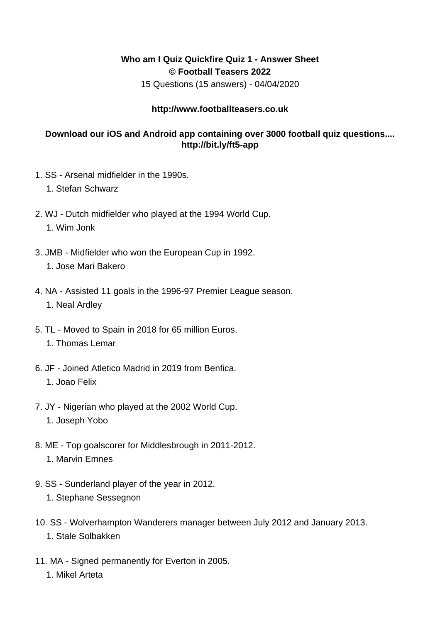## **Who am I Quiz Quickfire Quiz 1 - Answer Sheet © Football Teasers 2022**

15 Questions (15 answers) - 04/04/2020

## **http://www.footballteasers.co.uk**

## **Download our iOS and Android app containing over 3000 football quiz questions.... http://bit.ly/ft5-app**

- 1. SS Arsenal midfielder in the 1990s.
	- 1. Stefan Schwarz
- 2. WJ Dutch midfielder who played at the 1994 World Cup. 1. Wim Jonk
- 3. JMB Midfielder who won the European Cup in 1992. 1. Jose Mari Bakero
- 4. NA Assisted 11 goals in the 1996-97 Premier League season. 1. Neal Ardley
- 5. TL Moved to Spain in 2018 for 65 million Euros. 1. Thomas Lemar
- 6. JF Joined Atletico Madrid in 2019 from Benfica. 1. Joao Felix
- 7. JY Nigerian who played at the 2002 World Cup.
	- 1. Joseph Yobo
- 8. ME Top goalscorer for Middlesbrough in 2011-2012. 1. Marvin Emnes
- 9. SS Sunderland player of the year in 2012.
	- 1. Stephane Sessegnon
- 10. SS Wolverhampton Wanderers manager between July 2012 and January 2013. 1. Stale Solbakken
- 11. MA Signed permanently for Everton in 2005.
	- 1. Mikel Arteta